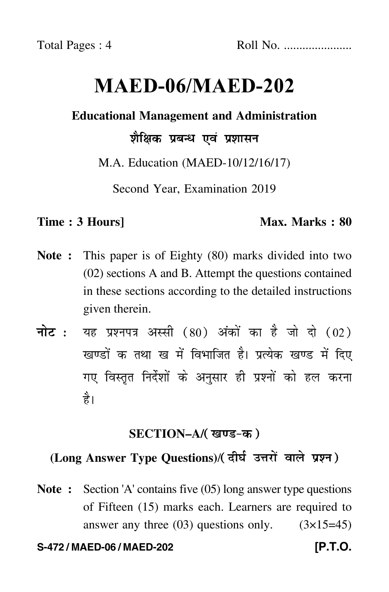# **MAED-06/MAED-202**

### **Educational Management and Administration**

# शैक्षिक प्रबन्ध एवं प्रशासन

M.A. Education (MAED-10/12/16/17)

Second Year, Examination 2019

#### **Time : 3 Hours]** Max. Marks : 80

- **Note :** This paper is of Eighty (80) marks divided into two (02) sections A and B. Attempt the questions contained in these sections according to the detailed instructions given therein.
- नोट : यह प्रश्नपत्र अस्सी (80) अंकों का है जो दो (02) खण्डों क तथा ख में विभाजित है। प्रत्येक खण्ड में दिए गए विस्तृत निर्देशों के अनुसार ही प्रश्नों को हल करन<mark>ा</mark> है।

# <u>SECTION–A/( खण्ड-क</u> )

# (Long Answer Type Questions)/( दीर्घ उत्तरों वाले प्रश्न )

**Note :** Section 'A' contains five (05) long answer type questions of Fifteen (15) marks each. Learners are required to answer any three  $(03)$  questions only.  $(3\times15=45)$ 

#### **S-472 / MAED-06 / MAED-202 [P.T.O.**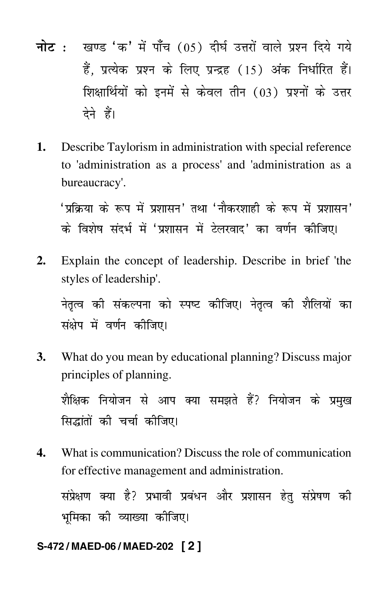- <mark>नोट</mark> : खण्ड 'क' में पाँच (05) दीर्घ उत्तरों वाले प्रश्न दिये गये हैं, प्रत्येक प्रश्न के लिए प्रन्द्रह (15) अंक निर्धारित हैं। शिक्षार्थियों को इनमें से केवल तीन (03) प्रश्नों के उत्तर देने हैं।
- **1.** Describe Taylorism in administration with special reference to 'administration as a process' and 'administration as a bureaucracy'.

'प्रक्रिया के रूप में प्रशासन' तथा 'नौकरशाही के रूप में प्रशासन' के विशेष संदर्भ में 'प्रशासन में टेलरवाद' का वर्णन कीजिए।

**2.** Explain the concept of leadership. Describe in brief 'the styles of leadership'.

नेतृत्व की संकल्पना को स्पष्ट कीजिए। नेतृत्व की शैलियों का संक्षेप में वर्णन कीजिए।

**3.** What do you mean by educational planning? Discuss major principles of planning.

शैक्षिक नियोजन से आप क्या समझते हैं? नियोजन के प्रमुख सिद्धांतों की चर्चा कीजिए।

**4.** What is communication? Discuss the role of communication for effective management and administration. संप्रेक्षण क्या है? प्रभावी प्रबंधन और प्रशासन हेतु संप्रेषण की  $\overline{a}$ भूमिका की व्याख्या कीजिए।

#### **S-472 / MAED-06 / MAED-202 [ 2 ]**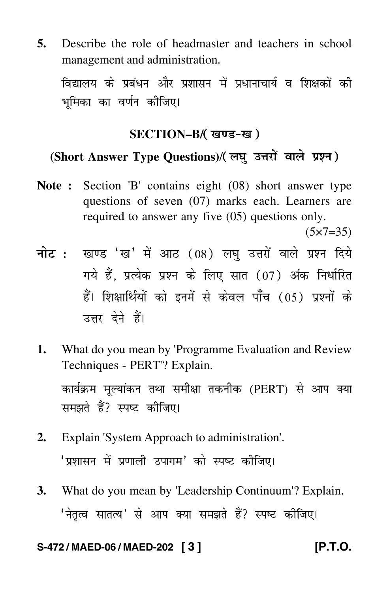**5.** Describe the role of headmaster and teachers in school management and administration.

विद्यालय के प्रबंधन और प्रशासन में प्रधानाचार्य व शिक्षकों की भमिका का वर्णन कोजिए।

# SECTION–B/( खण्ड-ख )

# (Short Answer Type Questions)/(लघु उत्तरों वाले प्रश्न)

**Note :** Section 'B' contains eight (08) short answer type questions of seven (07) marks each. Learners are required to answer any five (05) questions only.

 $(5 \times 7 = 35)$ 

- <mark>नोट</mark> : खण्ड 'ख' में आठ (08) लघु उत्तरों वाले प्रश्न दिये गये हैं, प्रत्येक प्रश्न के लिए सात (07) अंक निर्धारित हैं। शिक्षार्थियों को इनमें से केवल पाँच (05) प्रश्नों के उत्तर देने हैं।
- **1.** What do you mean by 'Programme Evaluation and Review Techniques - PERT'? Explain. कार्यक्रम मूल्यांकन तथा समीक्षा तकनीक (PERT) से आप क्या समझते हैं? स्पष्ट कीजिए।
- **2.** Explain 'System Approach to administration'. 'प्रशासन में प्रणाली उपागम' को स्पष्ट कीजिए।
- **3.** What do you mean by 'Leadership Continuum'? Explain. 'नेतृत्व सातत्य' से आप क्या समझते हैं? स्पष्ट कीजिए।

#### **S-472 / MAED-06 / MAED-202 [ 3 ] [P.T.O.**